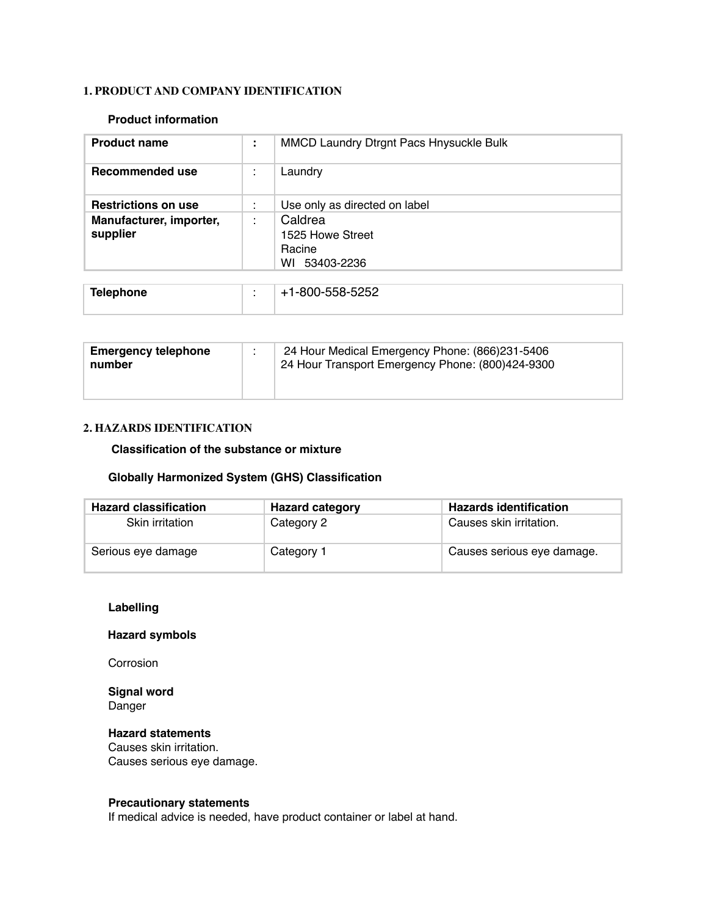### **1. PRODUCT AND COMPANY IDENTIFICATION**

#### **Product information**

| <b>Product name</b>                 | ÷ | <b>MMCD Laundry Dtrgnt Pacs Hnysuckle Bulk</b>            |
|-------------------------------------|---|-----------------------------------------------------------|
| Recommended use                     |   | Laundry                                                   |
| <b>Restrictions on use</b>          |   | Use only as directed on label                             |
| Manufacturer, importer,<br>supplier |   | Caldrea<br>1525 Howe Street<br>Racine<br>53403-2236<br>WI |
| <b>Telephone</b>                    |   | +1-800-558-5252                                           |

| <b>Emergency telephone</b><br>number | 24 Hour Medical Emergency Phone: (866)231-5406<br>24 Hour Transport Emergency Phone: (800)424-9300 |
|--------------------------------------|----------------------------------------------------------------------------------------------------|
|                                      |                                                                                                    |

#### **2. HAZARDS IDENTIFICATION**

#### **Classification of the substance or mixture**

### **Globally Harmonized System (GHS) Classification**

| <b>Hazard classification</b> | <b>Hazard category</b> | <b>Hazards identification</b> |
|------------------------------|------------------------|-------------------------------|
| Skin irritation              | Category 2             | Causes skin irritation.       |
| Serious eye damage           | Category 1             | Causes serious eye damage.    |

### **Labelling**

### **Hazard symbols**

Corrosion

### **Signal word** Danger

### **Hazard statements**

Causes skin irritation. Causes serious eye damage.

### **Precautionary statements**

If medical advice is needed, have product container or label at hand.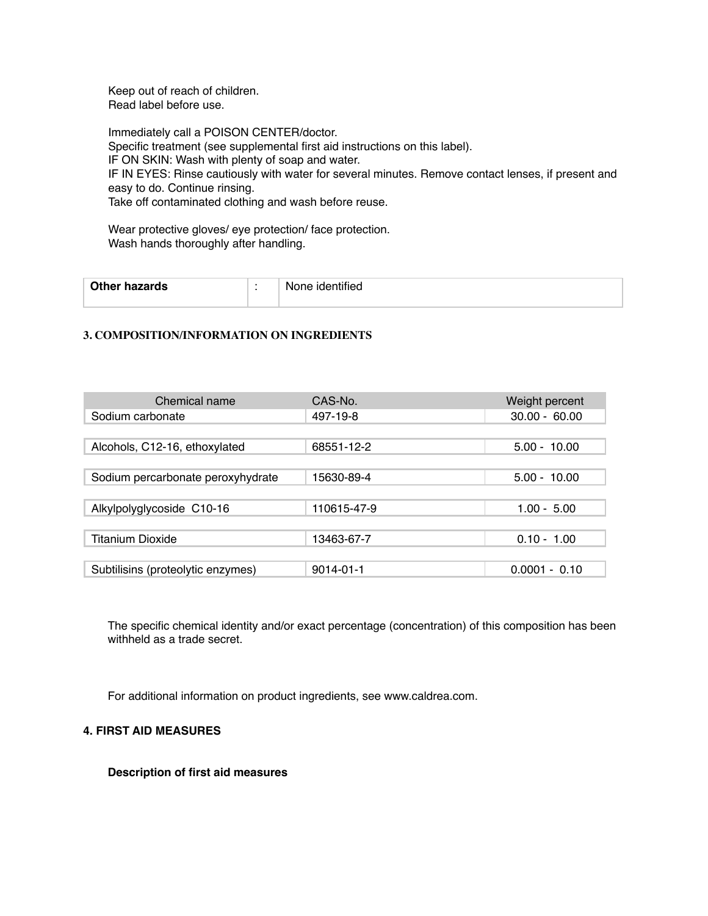Keep out of reach of children. Read label before use.

Immediately call a POISON CENTER/doctor. Specific treatment (see supplemental first aid instructions on this label). IF ON SKIN: Wash with plenty of soap and water. IF IN EYES: Rinse cautiously with water for several minutes. Remove contact lenses, if present and easy to do. Continue rinsing. Take off contaminated clothing and wash before reuse.

Wear protective gloves/ eye protection/ face protection. Wash hands thoroughly after handling.

| <b>Other hazards</b> | : identified<br>None. |
|----------------------|-----------------------|
|                      |                       |

#### **3. COMPOSITION/INFORMATION ON INGREDIENTS**

| Chemical name                     | CAS-No.         | Weight percent  |
|-----------------------------------|-----------------|-----------------|
| Sodium carbonate                  | 497-19-8        | $30.00 - 60.00$ |
|                                   |                 |                 |
| Alcohols, C12-16, ethoxylated     | 68551-12-2      | $5.00 - 10.00$  |
|                                   |                 |                 |
| Sodium percarbonate peroxyhydrate | 15630-89-4      | $5.00 - 10.00$  |
|                                   |                 |                 |
| Alkylpolyglycoside C10-16         | 110615-47-9     | $1.00 - 5.00$   |
|                                   |                 |                 |
| <b>Titanium Dioxide</b>           | 13463-67-7      | $0.10 - 1.00$   |
|                                   |                 |                 |
| Subtilisins (proteolytic enzymes) | $9014 - 01 - 1$ | $0.0001 - 0.10$ |

The specific chemical identity and/or exact percentage (concentration) of this composition has been withheld as a trade secret.

For additional information on product ingredients, see www.caldrea.com.

### **4. FIRST AID MEASURES**

**Description of first aid measures**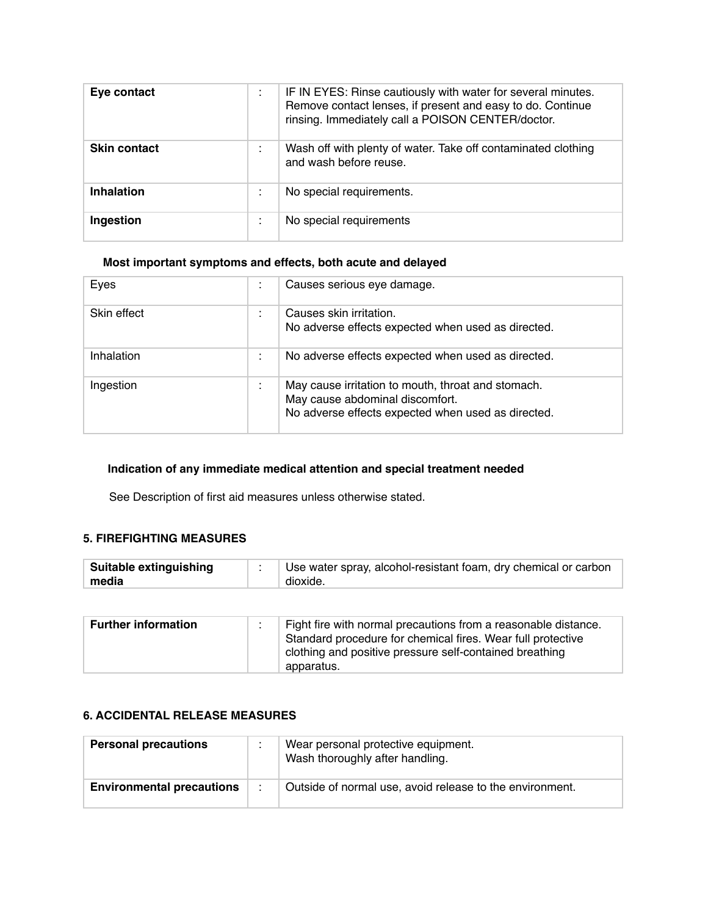| Eye contact         | ٠       | IF IN EYES: Rinse cautiously with water for several minutes.<br>Remove contact lenses, if present and easy to do. Continue<br>rinsing. Immediately call a POISON CENTER/doctor. |
|---------------------|---------|---------------------------------------------------------------------------------------------------------------------------------------------------------------------------------|
| <b>Skin contact</b> |         | Wash off with plenty of water. Take off contaminated clothing<br>and wash before reuse.                                                                                         |
| <b>Inhalation</b>   |         | No special requirements.                                                                                                                                                        |
| Ingestion           | $\cdot$ | No special requirements                                                                                                                                                         |

## **Most important symptoms and effects, both acute and delayed**

| Eyes        |   | Causes serious eye damage.                                                                                                                  |
|-------------|---|---------------------------------------------------------------------------------------------------------------------------------------------|
| Skin effect |   | Causes skin irritation.<br>No adverse effects expected when used as directed.                                                               |
| Inhalation  | ٠ | No adverse effects expected when used as directed.                                                                                          |
| Ingestion   | ٠ | May cause irritation to mouth, throat and stomach.<br>May cause abdominal discomfort.<br>No adverse effects expected when used as directed. |

## **Indication of any immediate medical attention and special treatment needed**

See Description of first aid measures unless otherwise stated.

## **5. FIREFIGHTING MEASURES**

| <b>Suitable extinguishing</b> | Use water spray, alcohol-resistant foam, dry chemical or carbon |
|-------------------------------|-----------------------------------------------------------------|
| media                         | dioxide.                                                        |

| <b>Further information</b> | Fight fire with normal precautions from a reasonable distance.                                                         |
|----------------------------|------------------------------------------------------------------------------------------------------------------------|
|                            | Standard procedure for chemical fires. Wear full protective<br>clothing and positive pressure self-contained breathing |
|                            | apparatus.                                                                                                             |

### **6. ACCIDENTAL RELEASE MEASURES**

| <b>Personal precautions</b>      |         | Wear personal protective equipment.<br>Wash thoroughly after handling. |
|----------------------------------|---------|------------------------------------------------------------------------|
| <b>Environmental precautions</b> | $\cdot$ | Outside of normal use, avoid release to the environment.               |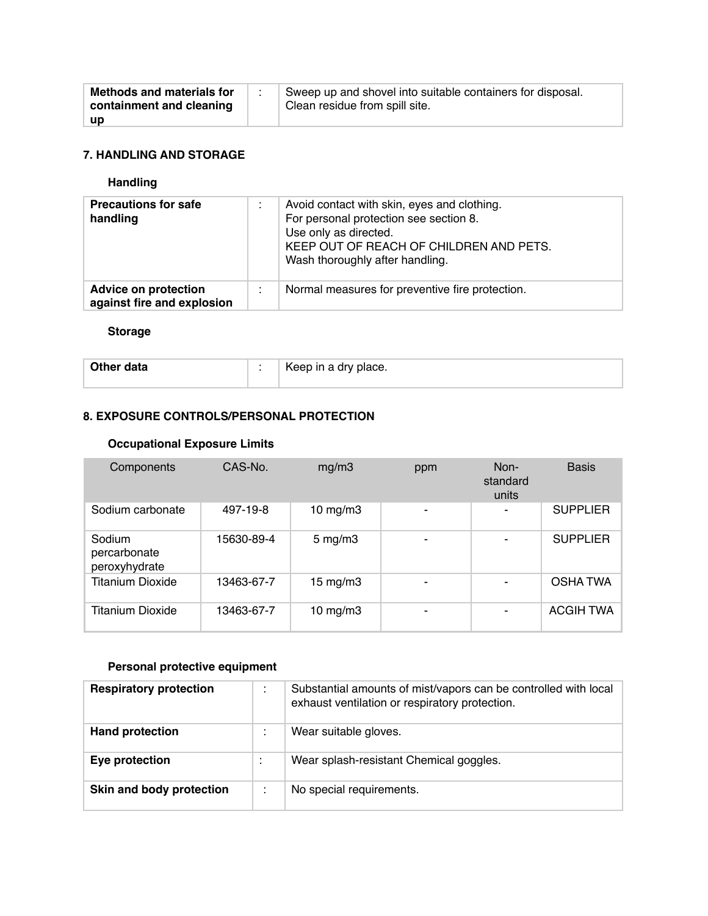| <b>Methods and materials for</b><br>containment and cleaning | Sweep up and shovel into suitable containers for disposal.<br>Clean residue from spill site. |
|--------------------------------------------------------------|----------------------------------------------------------------------------------------------|
| <b>up</b>                                                    |                                                                                              |

### **7. HANDLING AND STORAGE**

# **Handling**

| <b>Precautions for safe</b><br>handling                   | ٠ | Avoid contact with skin, eyes and clothing.<br>For personal protection see section 8.<br>Use only as directed.<br>KEEP OUT OF REACH OF CHILDREN AND PETS.<br>Wash thoroughly after handling. |
|-----------------------------------------------------------|---|----------------------------------------------------------------------------------------------------------------------------------------------------------------------------------------------|
| <b>Advice on protection</b><br>against fire and explosion | ٠ | Normal measures for preventive fire protection.                                                                                                                                              |

### **Storage**

| Other data | $\sim$ | $\perp$ Keep in a dry place. |
|------------|--------|------------------------------|
|            |        |                              |

# **8. EXPOSURE CONTROLS/PERSONAL PROTECTION**

### **Occupational Exposure Limits**

| Components                              | CAS-No.    | mg/m3             | ppm                      | Non-<br>standard<br>units | <b>Basis</b>     |
|-----------------------------------------|------------|-------------------|--------------------------|---------------------------|------------------|
| Sodium carbonate                        | 497-19-8   | $10$ mg/m $3$     | $\overline{\phantom{0}}$ |                           | <b>SUPPLIER</b>  |
| Sodium<br>percarbonate<br>peroxyhydrate | 15630-89-4 | $5 \text{ mg/m}$  |                          | ۰                         | <b>SUPPLIER</b>  |
| <b>Titanium Dioxide</b>                 | 13463-67-7 | $15 \text{ mg/m}$ |                          |                           | <b>OSHATWA</b>   |
| Titanium Dioxide                        | 13463-67-7 | $10$ mg/m $3$     | -                        |                           | <b>ACGIH TWA</b> |

# **Personal protective equipment**

| <b>Respiratory protection</b> | ٠<br>$\overline{\phantom{a}}$ | Substantial amounts of mist/vapors can be controlled with local<br>exhaust ventilation or respiratory protection. |
|-------------------------------|-------------------------------|-------------------------------------------------------------------------------------------------------------------|
| <b>Hand protection</b>        | ٠<br>$\overline{\phantom{a}}$ | Wear suitable gloves.                                                                                             |
| Eye protection                |                               | Wear splash-resistant Chemical goggles.                                                                           |
| Skin and body protection      |                               | No special requirements.                                                                                          |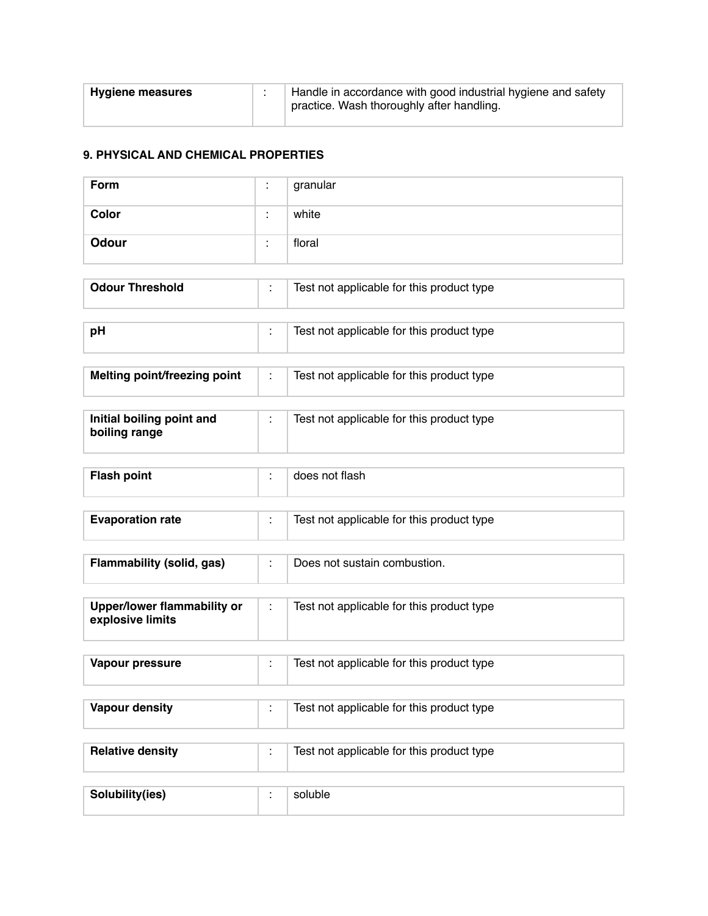| Hygiene measures |  | Handle in accordance with good industrial hygiene and safety<br>practice. Wash thoroughly after handling. |
|------------------|--|-----------------------------------------------------------------------------------------------------------|
|------------------|--|-----------------------------------------------------------------------------------------------------------|

### **9. PHYSICAL AND CHEMICAL PROPERTIES**

| Form         | $\cdot$ | granular |
|--------------|---------|----------|
| Color        | $\cdot$ | white    |
| <b>Odour</b> |         | floral   |

| <b>Odour Threshold</b> | Test not applicable for this product type |
|------------------------|-------------------------------------------|
|                        |                                           |
| рH                     | Test not applicable for this product type |

| Melting point/freezing point | Test not applicable for this product type |
|------------------------------|-------------------------------------------|

| Initial boiling point and<br>boiling range | Test not applicable for this product type |
|--------------------------------------------|-------------------------------------------|
|                                            |                                           |
| <b>Flash point</b>                         | does not flash                            |

| <b>Evaporation rate</b> | Test not applicable for this product type |
|-------------------------|-------------------------------------------|

| Flammability (solid, gas)                       |    | Does not sustain combustion.              |
|-------------------------------------------------|----|-------------------------------------------|
| Upper/lower flammability or<br>explosive limits | ×. | Test not applicable for this product type |
| Vapour pressure                                 | ٠. | Test not applicable for this product type |

| <b>Vapour density</b>   | Test not applicable for this product type |
|-------------------------|-------------------------------------------|
| <b>Relative density</b> | Test not applicable for this product type |
| Solubility(ies)         | soluble                                   |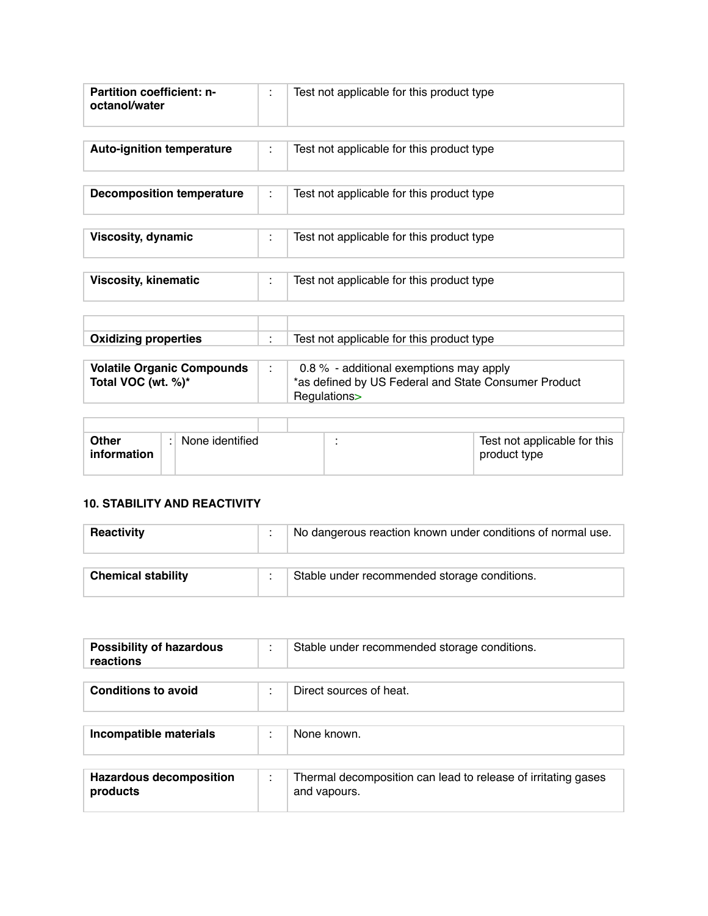| <b>Partition coefficient: n-</b><br>octanol/water | Test not applicable for this product type |
|---------------------------------------------------|-------------------------------------------|
|                                                   |                                           |

| <b>Auto-ignition temperature</b> | Test not applicable for this product type |
|----------------------------------|-------------------------------------------|
| <b>Decomposition temperature</b> | Test not applicable for this product type |
| <b>Viscosity, dynamic</b>        | Test not applicable for this product type |
| <b>Viscosity, kinematic</b>      | Test not applicable for this product type |

| <b>Oxidizing properties</b> | Test not applicable for this product type |
|-----------------------------|-------------------------------------------|
|                             |                                           |

| <b>Volatile Organic Compounds</b><br>Total VOC (wt. %)* | 0.8 $%$ - additional exemptions may apply<br>*as defined by US Federal and State Consumer Product |
|---------------------------------------------------------|---------------------------------------------------------------------------------------------------|
|                                                         | Regulations>                                                                                      |

| <b>Other</b><br>information | None identified | Test not applicable for this<br>product type |
|-----------------------------|-----------------|----------------------------------------------|
|                             |                 |                                              |

# **10. STABILITY AND REACTIVITY**

Г

| <b>Reactivity</b>         | No dangerous reaction known under conditions of normal use. |
|---------------------------|-------------------------------------------------------------|
|                           |                                                             |
| <b>Chemical stability</b> | Stable under recommended storage conditions.                |

| <b>Possibility of hazardous</b><br>reactions | Stable under recommended storage conditions.                                  |
|----------------------------------------------|-------------------------------------------------------------------------------|
|                                              |                                                                               |
| <b>Conditions to avoid</b>                   | Direct sources of heat.                                                       |
|                                              |                                                                               |
| Incompatible materials                       | None known.                                                                   |
|                                              |                                                                               |
| <b>Hazardous decomposition</b><br>products   | Thermal decomposition can lead to release of irritating gases<br>and vapours. |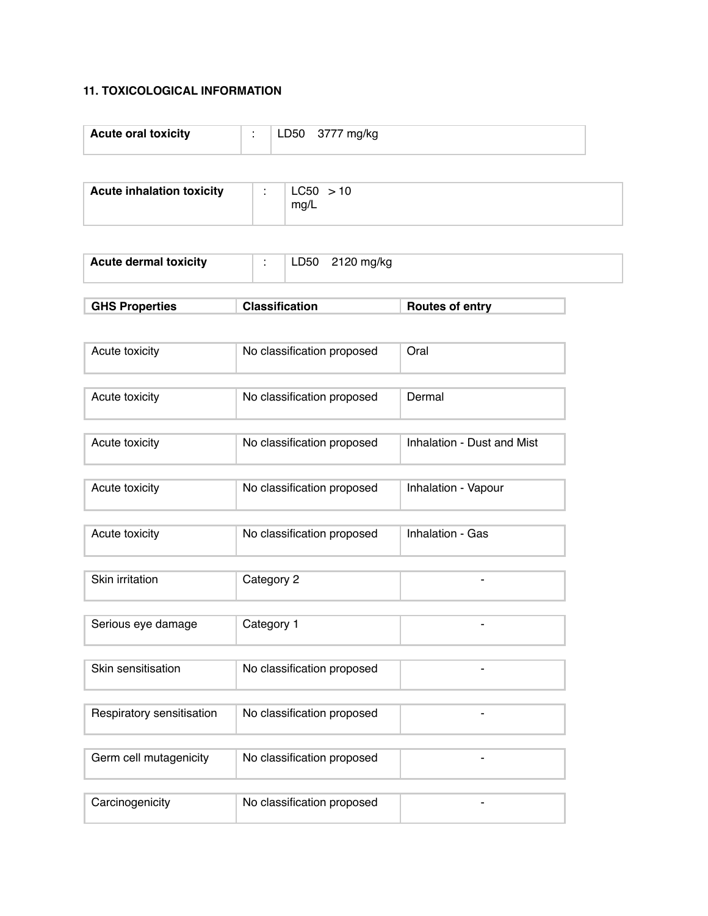## **11. TOXICOLOGICAL INFORMATION**

| <b>Acute oral toxicity</b> |  | –750 – | ma/ka |
|----------------------------|--|--------|-------|
|----------------------------|--|--------|-------|

| <b>Acute inhalation toxicity</b> | LC50 > 10 |
|----------------------------------|-----------|
|                                  | ma/L      |

|  | <b>Acute dermal toxicity</b> |  | LD50 | 2120 mg/kg |  |
|--|------------------------------|--|------|------------|--|
|--|------------------------------|--|------|------------|--|

| <b>GHS Properties</b> | <b>Classification</b> | Routes of entry |
|-----------------------|-----------------------|-----------------|
|-----------------------|-----------------------|-----------------|

| Acute toxicity | No classification proposed | Oral                       |
|----------------|----------------------------|----------------------------|
|                |                            |                            |
| Acute toxicity | No classification proposed | Dermal                     |
|                |                            |                            |
| Acute toxicity | No classification proposed | Inhalation - Dust and Mist |

| Acute toxicity | No classification proposed | Inhalation - Vapour |
|----------------|----------------------------|---------------------|

| Acute toxicity | No classification proposed | Inhalation - Gas |
|----------------|----------------------------|------------------|
|----------------|----------------------------|------------------|

| Skin irritation | Category 2 |  |
|-----------------|------------|--|
|                 |            |  |

| Skin sensitisation | No classification proposed |  |
|--------------------|----------------------------|--|
|                    |                            |  |

| Respiratory sensitisation | No classification proposed |  |
|---------------------------|----------------------------|--|
|                           |                            |  |
| Germ cell mutagenicity    | No classification proposed |  |
|                           |                            |  |
| Carcinogenicity           | No classification proposed |  |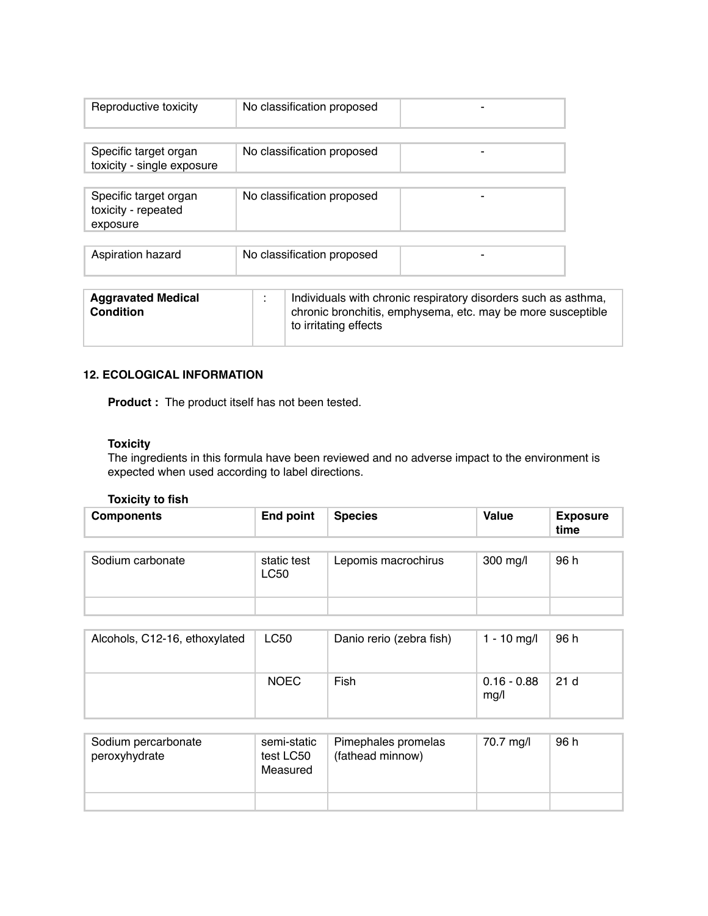| Reproductive toxicity                                    | No classification proposed                                                                                                                             |
|----------------------------------------------------------|--------------------------------------------------------------------------------------------------------------------------------------------------------|
|                                                          |                                                                                                                                                        |
| Specific target organ<br>toxicity - single exposure      | No classification proposed                                                                                                                             |
|                                                          |                                                                                                                                                        |
| Specific target organ<br>toxicity - repeated<br>exposure | No classification proposed                                                                                                                             |
|                                                          |                                                                                                                                                        |
| Aspiration hazard                                        | No classification proposed                                                                                                                             |
|                                                          |                                                                                                                                                        |
| <b>Aggravated Medical</b><br>Condition                   | Individuals with chronic respiratory disorders such as asthma,<br>chronic bronchitis, emphysema, etc. may be more susceptible<br>to irritating effects |

### **12. ECOLOGICAL INFORMATION**

**Product :** The product itself has not been tested.

### **Toxicity**

The ingredients in this formula have been reviewed and no adverse impact to the environment is expected when used according to label directions.

### **Toxicity to fish**

| <b>Components</b> | <b>End point</b>           | <b>Species</b>      | <b>Value</b> | <b>Exposure</b><br>time |
|-------------------|----------------------------|---------------------|--------------|-------------------------|
| Sodium carbonate  | static test<br><b>LC50</b> | Lepomis macrochirus | 300 mg/l     | 96 h                    |
|                   |                            |                     |              |                         |

| Alcohols, C12-16, ethoxylated | LC50        | Danio rerio (zebra fish) | 1 - 10 mg/l           | 96 h            |
|-------------------------------|-------------|--------------------------|-----------------------|-----------------|
|                               | <b>NOEC</b> | Fish                     | $0.16 - 0.88$<br>mg/l | 21 <sub>d</sub> |

| Sodium percarbonate<br>peroxyhydrate | semi-static<br>test LC50<br>Measured | Pimephales promelas<br>(fathead minnow) | 70.7 mg/l | 96 h |
|--------------------------------------|--------------------------------------|-----------------------------------------|-----------|------|
|                                      |                                      |                                         |           |      |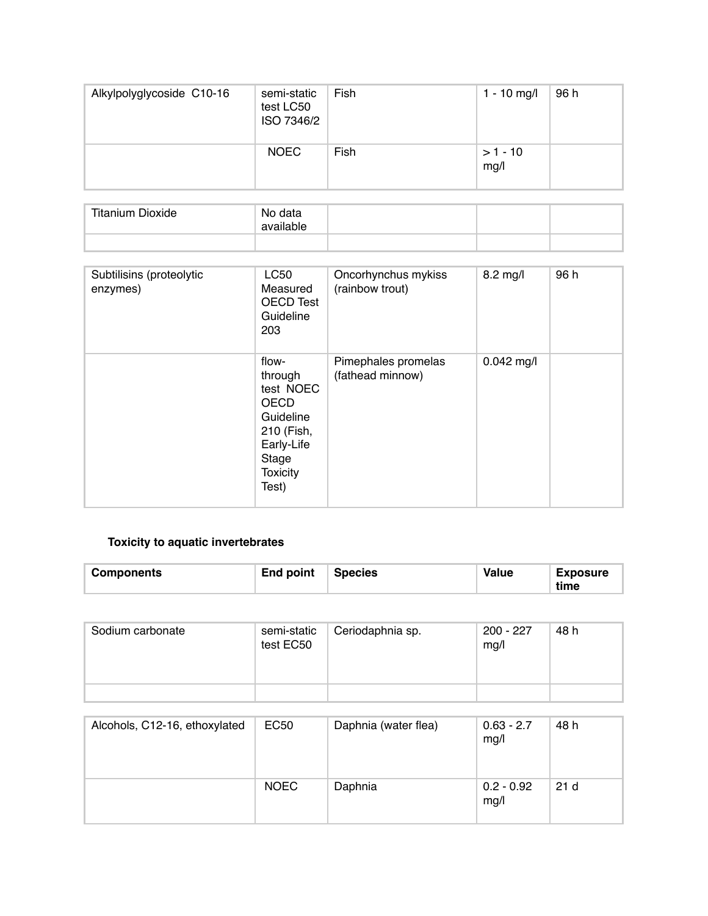| Alkylpolyglycoside C10-16 | semi-static<br>test LC50<br>ISO 7346/2 | Fish | $1 - 10$ mg/l     | 96 h |
|---------------------------|----------------------------------------|------|-------------------|------|
|                           | <b>NOEC</b>                            | Fish | $>1 - 10$<br>mg/l |      |

| <b>Titanium Dioxide</b> | No data<br>available |  |  |
|-------------------------|----------------------|--|--|
|                         |                      |  |  |

| Subtilisins (proteolytic<br>enzymes) | <b>LC50</b><br>Measured<br><b>OECD Test</b><br>Guideline<br>203                                                            | Oncorhynchus mykiss<br>(rainbow trout)  | 8.2 mg/l     | 96 h |
|--------------------------------------|----------------------------------------------------------------------------------------------------------------------------|-----------------------------------------|--------------|------|
|                                      | flow-<br>through<br>test NOEC<br><b>OECD</b><br>Guideline<br>210 (Fish,<br>Early-Life<br>Stage<br><b>Toxicity</b><br>Test) | Pimephales promelas<br>(fathead minnow) | $0.042$ mg/l |      |

# **Toxicity to aquatic invertebrates**

| End point<br><b>Components</b> | <b>Species</b> | <b>Value</b> | <b>Exposure</b><br>time |
|--------------------------------|----------------|--------------|-------------------------|
|--------------------------------|----------------|--------------|-------------------------|

| Sodium carbonate | semi-static<br>test EC50 | Ceriodaphnia sp. | 200 - 227<br>mg/l | 48 h |
|------------------|--------------------------|------------------|-------------------|------|
|                  |                          |                  |                   |      |

| Alcohols, C12-16, ethoxylated | EC50        | Daphnia (water flea) | $0.63 - 2.7$<br>mg/l | 48 h |
|-------------------------------|-------------|----------------------|----------------------|------|
|                               | <b>NOEC</b> | Daphnia              | $0.2 - 0.92$<br>mg/l | 21d  |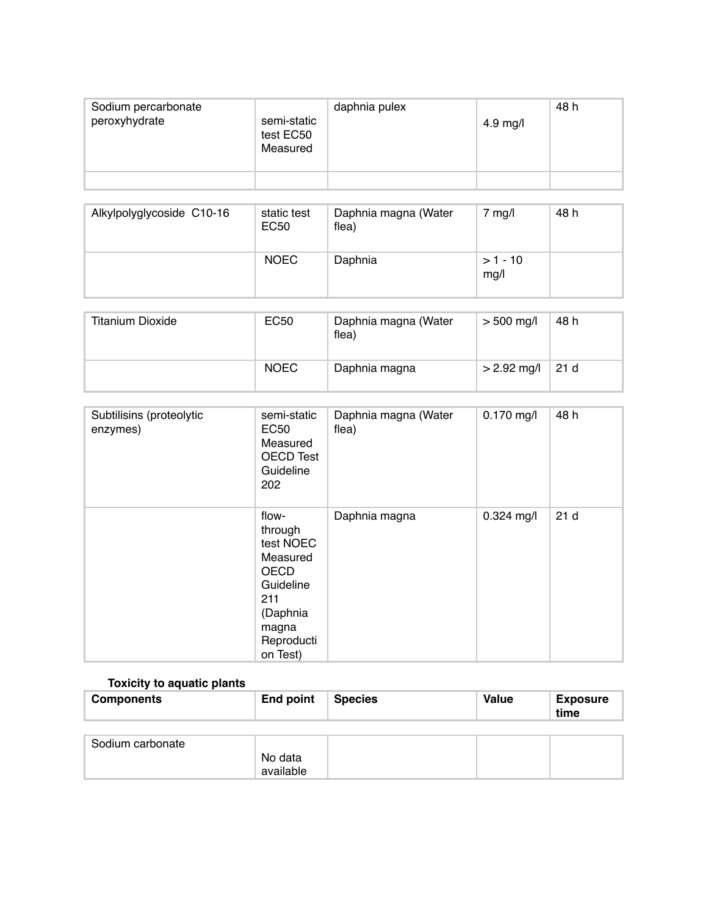| Sodium percarbonate<br>peroxyhydrate | semi-static<br>test EC50<br>Measured | daphnia pulex | 4.9 mg/l | 48 h |
|--------------------------------------|--------------------------------------|---------------|----------|------|
|                                      |                                      |               |          |      |

| Alkylpolyglycoside C10-16 | static test<br>EC50 | Daphnia magna (Water<br>flea) | mg/l              | 48 h |
|---------------------------|---------------------|-------------------------------|-------------------|------|
|                           | <b>NOEC</b>         | Daphnia                       | $>1 - 10$<br>mg/l |      |

| Titanium Dioxide | EC50        | Daphnia magna (Water<br>flea) | $> 500$ mg/l  | 48 h |
|------------------|-------------|-------------------------------|---------------|------|
|                  | <b>NOEC</b> | Daphnia magna                 | $> 2.92$ mg/l | 21 d |

| Subtilisins (proteolytic<br>enzymes) | semi-static<br><b>EC50</b><br>Measured<br>OECD Test<br>Guideline<br>202                                                     | Daphnia magna (Water<br>flea) | $0.170$ mg/l | 48 h            |
|--------------------------------------|-----------------------------------------------------------------------------------------------------------------------------|-------------------------------|--------------|-----------------|
|                                      | flow-<br>through<br>test NOEC<br>Measured<br><b>OECD</b><br>Guideline<br>211<br>(Daphnia<br>magna<br>Reproducti<br>on Test) | Daphnia magna                 | $0.324$ mg/l | 21 <sub>d</sub> |

# **Toxicity to aquatic plants**

| <b>Components</b> | End point | <b>Species</b> | <b>Value</b> | <b>Exposure</b><br>time |
|-------------------|-----------|----------------|--------------|-------------------------|
|                   |           |                |              |                         |
| Sodium carbonate  |           |                |              |                         |
|                   | No data   |                |              |                         |
|                   | available |                |              |                         |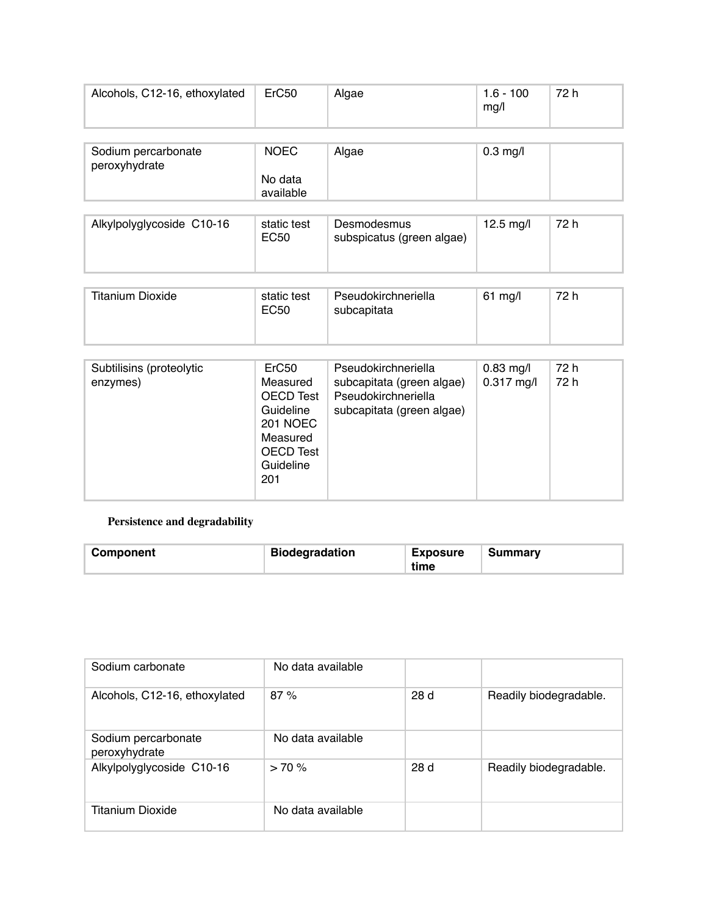| Alcohols, C12-16, ethoxylated        | ErC <sub>50</sub>    | Algae | $1.6 - 100$<br>mg/l | 72 h |
|--------------------------------------|----------------------|-------|---------------------|------|
| Sodium percarbonate<br>peroxyhydrate | <b>NOEC</b>          | Algae | $0.3$ mg/l          |      |
|                                      | No data<br>available |       |                     |      |

| Alkylpolyglycoside C10-16 | static test<br>EC50 | Desmodesmus<br>subspicatus (green algae) | 12.5 mg/l | 72 h |
|---------------------------|---------------------|------------------------------------------|-----------|------|
|---------------------------|---------------------|------------------------------------------|-----------|------|

| Titanium Dioxide | static test<br>EC50 | Pseudokirchneriella<br>subcapitata | $61 \text{ mg/l}$ | 72 h |
|------------------|---------------------|------------------------------------|-------------------|------|
|                  |                     |                                    |                   |      |

| Subtilisins (proteolytic<br>enzymes) | ErC <sub>50</sub><br>Measured<br><b>OECD Test</b><br>Guideline<br><b>201 NOEC</b><br>Measured<br><b>OECD Test</b><br>Guideline<br>201 | Pseudokirchneriella<br>subcapitata (green algae)<br>Pseudokirchneriella<br>subcapitata (green algae) | $0.83$ mg/l<br>$0.317$ mg/l | 72 h<br>72 h |
|--------------------------------------|---------------------------------------------------------------------------------------------------------------------------------------|------------------------------------------------------------------------------------------------------|-----------------------------|--------------|
|--------------------------------------|---------------------------------------------------------------------------------------------------------------------------------------|------------------------------------------------------------------------------------------------------|-----------------------------|--------------|

## **Persistence and degradability**

| Component | <b>Biodegradation</b> | <b>Exposure</b><br>time | Summary |
|-----------|-----------------------|-------------------------|---------|
|-----------|-----------------------|-------------------------|---------|

| Sodium carbonate                     | No data available |     |                        |
|--------------------------------------|-------------------|-----|------------------------|
| Alcohols, C12-16, ethoxylated        | 87%               | 28d | Readily biodegradable. |
| Sodium percarbonate<br>peroxyhydrate | No data available |     |                        |
| Alkylpolyglycoside C10-16            | > 70%             | 28d | Readily biodegradable. |
| Titanium Dioxide                     | No data available |     |                        |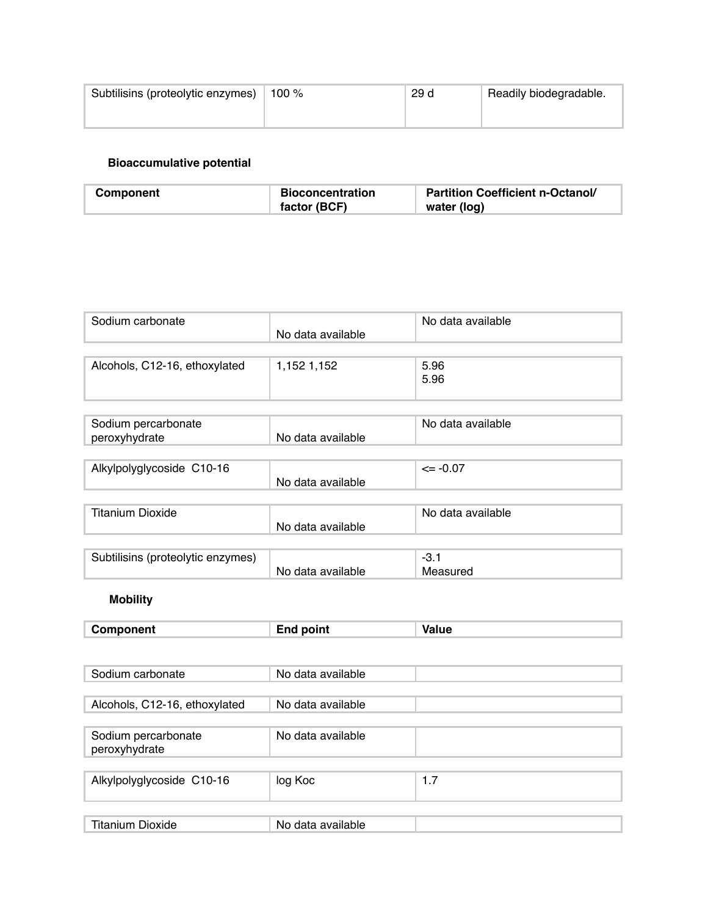| Subtilisins (proteolytic enzymes) | 100 % | 29 d | Readily biodegradable. |
|-----------------------------------|-------|------|------------------------|
|                                   |       |      |                        |

### **Bioaccumulative potential**

| Component | <b>Bioconcentration</b> | <b>Partition Coefficient n-Octanol/</b> |
|-----------|-------------------------|-----------------------------------------|
|           | factor (BCF)            | water (log)                             |

| Sodium carbonate                     |                   | No data available  |
|--------------------------------------|-------------------|--------------------|
|                                      | No data available |                    |
| Alcohols, C12-16, ethoxylated        | 1,152 1,152       | 5.96<br>5.96       |
|                                      |                   |                    |
| Sodium percarbonate<br>peroxyhydrate | No data available | No data available  |
|                                      |                   |                    |
| Alkylpolyglycoside C10-16            | No data available | $\leq$ -0.07       |
|                                      |                   |                    |
| <b>Titanium Dioxide</b>              | No data available | No data available  |
|                                      |                   |                    |
| Subtilisins (proteolytic enzymes)    | No data available | $-3.1$<br>Measured |
| <b>Mobility</b>                      |                   |                    |
| Component                            | <b>End point</b>  | <b>Value</b>       |
|                                      |                   |                    |
| Sodium carbonate                     | No data available |                    |
|                                      |                   |                    |
| Alcohols, C12-16, ethoxylated        | No data available |                    |
| Sodium percarbonate<br>peroxyhydrate | No data available |                    |
|                                      |                   |                    |
| Alkylpolyglycoside C10-16            | log Koc           | 1.7                |
|                                      |                   |                    |
| <b>Titanium Dioxide</b>              | No data available |                    |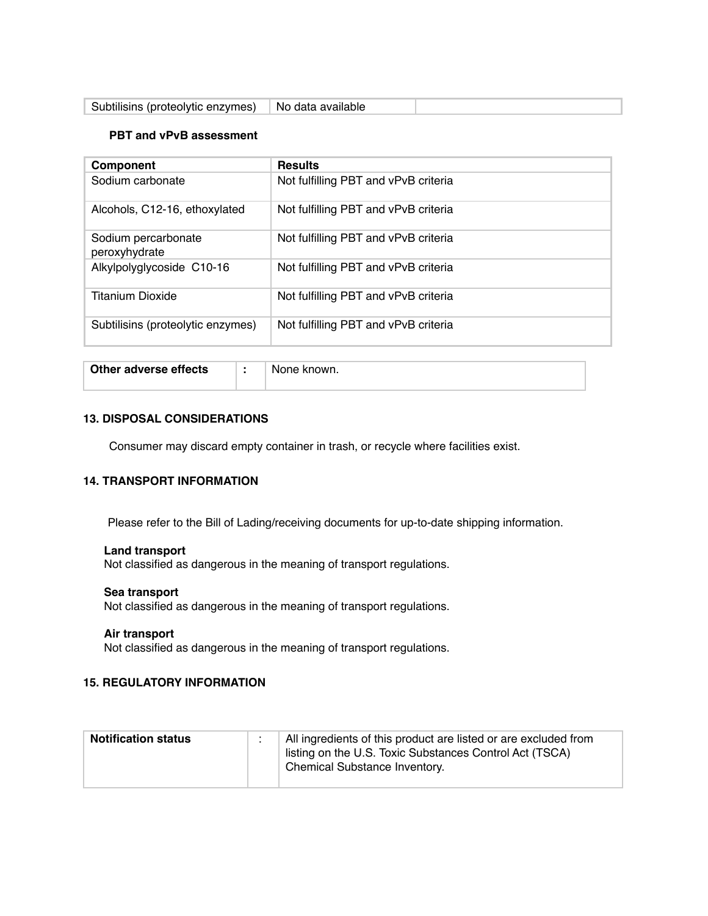| Subtilisins (proteolytic enzymes)   No data available |
|-------------------------------------------------------|
|-------------------------------------------------------|

### **PBT and vPvB assessment**

| Component                            | <b>Results</b>                       |
|--------------------------------------|--------------------------------------|
| Sodium carbonate                     | Not fulfilling PBT and vPvB criteria |
| Alcohols, C12-16, ethoxylated        | Not fulfilling PBT and vPvB criteria |
| Sodium percarbonate<br>peroxyhydrate | Not fulfilling PBT and vPvB criteria |
| Alkylpolyglycoside C10-16            | Not fulfilling PBT and vPvB criteria |
| <b>Titanium Dioxide</b>              | Not fulfilling PBT and vPvB criteria |
| Subtilisins (proteolytic enzymes)    | Not fulfilling PBT and vPvB criteria |

| Other adverse effects | $\mathbf{r}$ | None known. |
|-----------------------|--------------|-------------|
|                       |              |             |

### **13. DISPOSAL CONSIDERATIONS**

Consumer may discard empty container in trash, or recycle where facilities exist.

## **14. TRANSPORT INFORMATION**

Please refer to the Bill of Lading/receiving documents for up-to-date shipping information.

### **Land transport**

Not classified as dangerous in the meaning of transport regulations.

### **Sea transport**

Not classified as dangerous in the meaning of transport regulations.

#### **Air transport**

Not classified as dangerous in the meaning of transport regulations.

### **15. REGULATORY INFORMATION**

| <b>Notification status</b> | All ingredients of this product are listed or are excluded from<br>listing on the U.S. Toxic Substances Control Act (TSCA)<br>Chemical Substance Inventory. |
|----------------------------|-------------------------------------------------------------------------------------------------------------------------------------------------------------|
|                            |                                                                                                                                                             |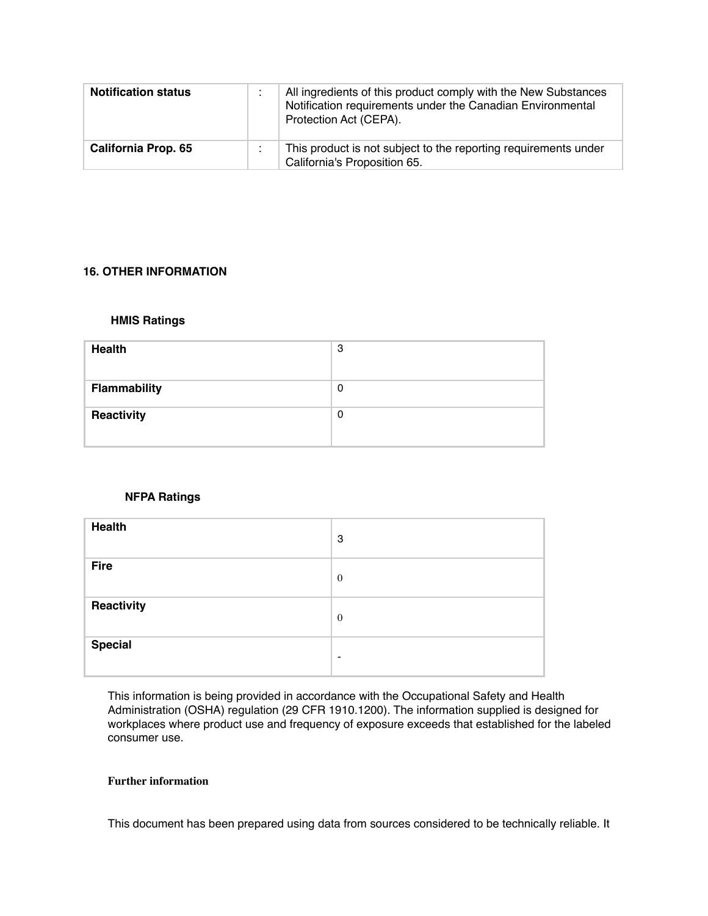| <b>Notification status</b> | All ingredients of this product comply with the New Substances<br>Notification requirements under the Canadian Environmental<br>Protection Act (CEPA). |
|----------------------------|--------------------------------------------------------------------------------------------------------------------------------------------------------|
| <b>California Prop. 65</b> | This product is not subject to the reporting requirements under<br>California's Proposition 65.                                                        |

### **16. OTHER INFORMATION**

### **HMIS Ratings**

| <b>Health</b>       | 3        |
|---------------------|----------|
| <b>Flammability</b> | 0        |
| Reactivity          | $\Omega$ |

### **NFPA Ratings**

| <b>Health</b>  | 3            |
|----------------|--------------|
| <b>Fire</b>    | $\mathbf{0}$ |
| Reactivity     | $\theta$     |
| <b>Special</b> | $\,$         |

This information is being provided in accordance with the Occupational Safety and Health Administration (OSHA) regulation (29 CFR 1910.1200). The information supplied is designed for workplaces where product use and frequency of exposure exceeds that established for the labeled consumer use.

#### **Further information**

This document has been prepared using data from sources considered to be technically reliable. It